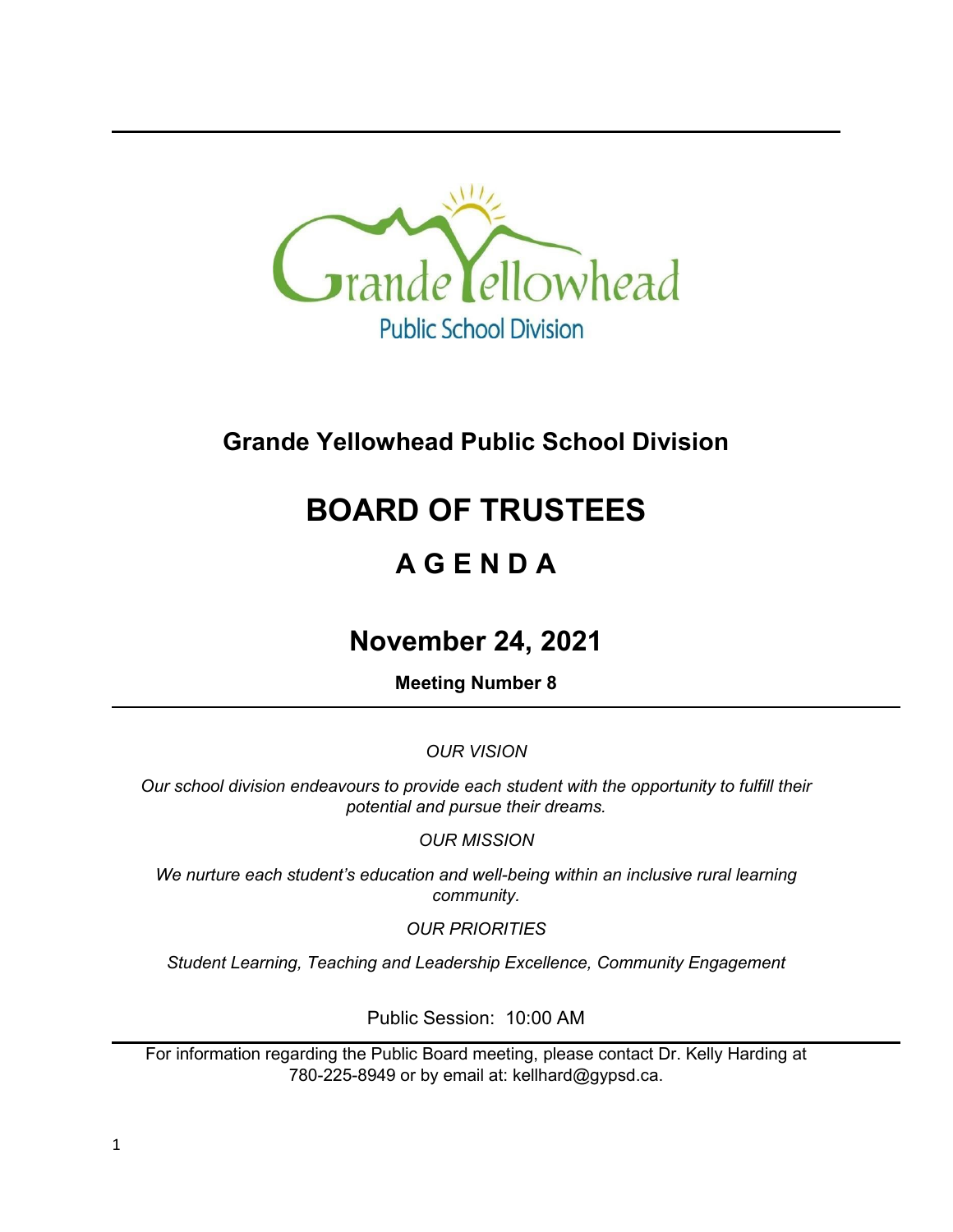

# **Grande Yellowhead Public School Division**

# **BOARD OF TRUSTEES**

# **A G E N D A**

# **November 24, 2021**

**Meeting Number 8**

*OUR VISION*

*Our school division endeavours to provide each student with the opportunity to fulfill their potential and pursue their dreams.*

*OUR MISSION*

*We nurture each student's education and well-being within an inclusive rural learning community.*

*OUR PRIORITIES*

*Student Learning, Teaching and Leadership Excellence, Community Engagement*

Public Session: 10:00 AM

For information regarding the Public Board meeting, please contact Dr. Kelly Harding at 780-225-8949 or by email at: kellhard@gypsd.ca.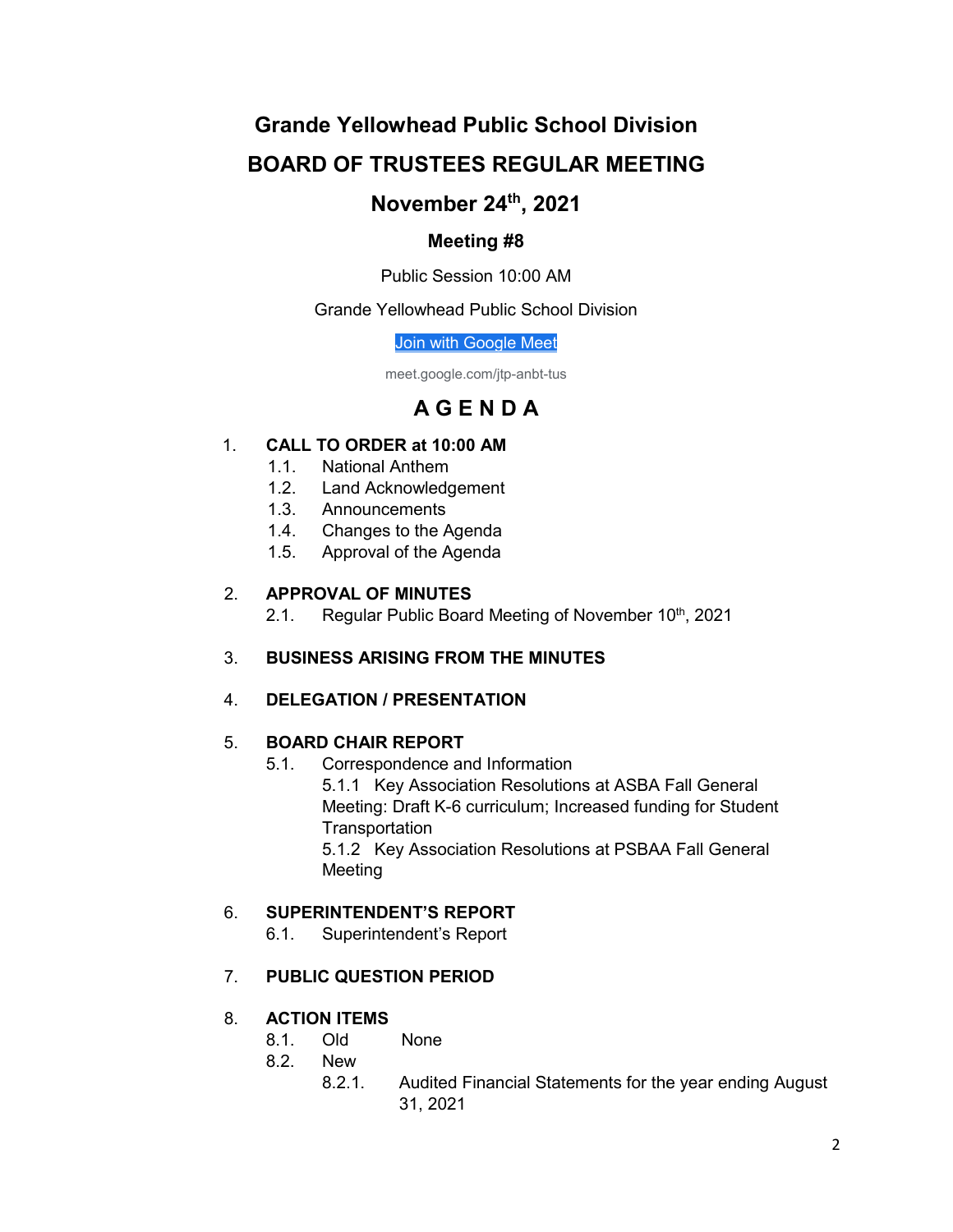# **Grande Yellowhead Public School Division BOARD OF TRUSTEES REGULAR MEETING**

# **November 24th, 2021**

# **Meeting #8**

Public Session 10:00 AM

## Grande Yellowhead Public School Division

[Join with Google Meet](https://meet.google.com/jtp-anbt-tus?authuser=0&hs=122)

meet.google.com/jtp-anbt-tus

# **A G E N D A**

# 1. **CALL TO ORDER at 10:00 AM**

- 1.1. National Anthem
- 1.2. Land Acknowledgement
- 1.3. Announcements
- 1.4. Changes to the Agenda
- 1.5. Approval of the Agenda

## 2. **APPROVAL OF MINUTES**

2.1. Regular Public Board Meeting of November 10<sup>th</sup>, 2021

# 3. **BUSINESS ARISING FROM THE MINUTES**

# 4. **DELEGATION / PRESENTATION**

# 5. **BOARD CHAIR REPORT**

5.1. Correspondence and Information

5.1.1 Key Association Resolutions at ASBA Fall General Meeting: Draft K-6 curriculum; Increased funding for Student **Transportation** 

5.1.2 Key Association Resolutions at PSBAA Fall General Meeting

# 6. **SUPERINTENDENT'S REPORT**

6.1. Superintendent's Report

# 7. **PUBLIC QUESTION PERIOD**

# 8. **ACTION ITEMS**

- 8.1. Old None
- 8.2. New
	- 8.2.1. Audited Financial Statements for the year ending August 31, 2021